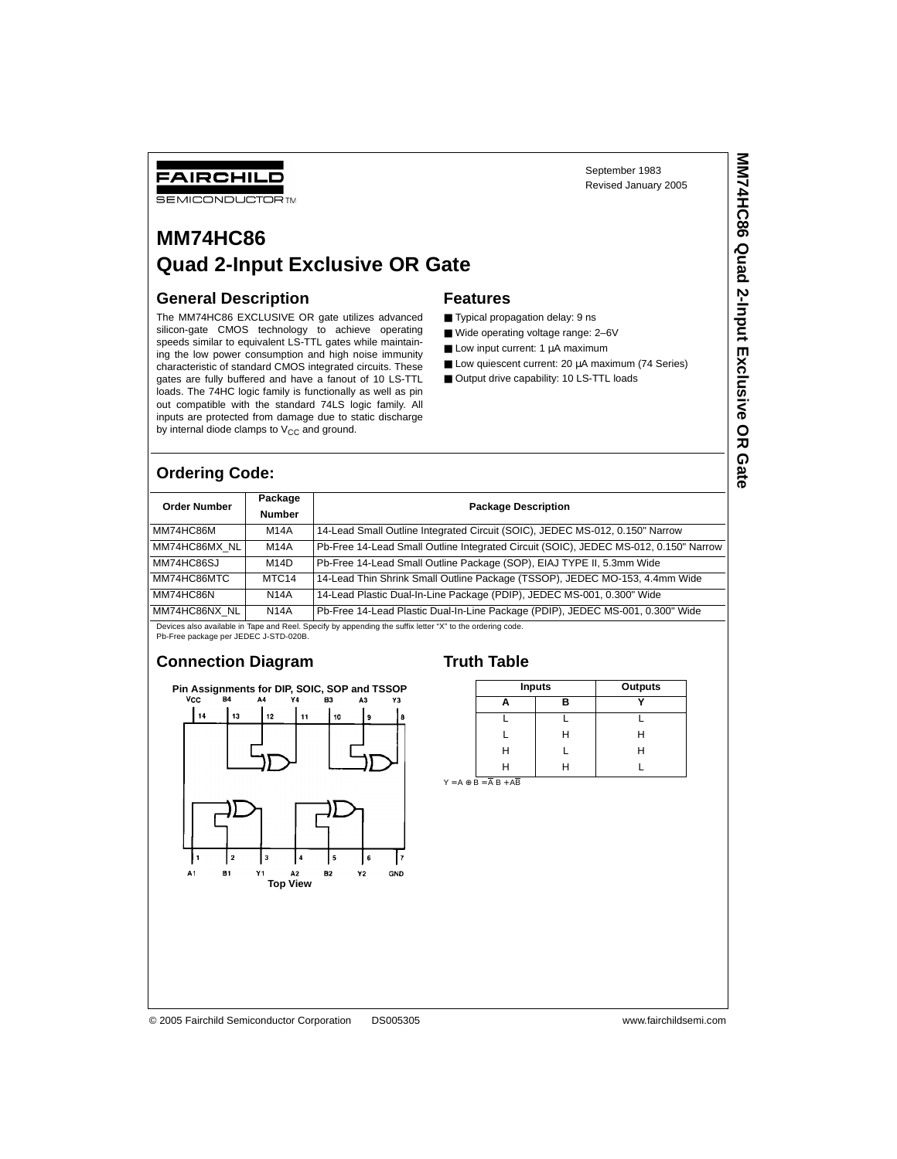FAIRCHILD

**SEMICONDUCTOR TM** 

# **MM74HC86 Quad 2-Input Exclusive OR Gate**

#### **General Description**

The MM74HC86 EXCLUSIVE OR gate utilizes advanced silicon-gate CMOS technology to achieve operating speeds similar to equivalent LS-TTL gates while maintaining the low power consumption and high noise immunity characteristic of standard CMOS integrated circuits. These gates are fully buffered and have a fanout of 10 LS-TTL loads. The 74HC logic family is functionally as well as pin out compatible with the standard 74LS logic family. All inputs are protected from damage due to static discharge by internal diode clamps to  $V_{CC}$  and ground.

#### **Features**

- Typical propagation delay: 9 ns
- Wide operating voltage range: 2-6V
- $\blacksquare$  Low input current: 1  $\mu$ A maximum
- Low quiescent current: 20 µA maximum (74 Series)
- Output drive capability: 10 LS-TTL loads

### **Ordering Code:**

| <b>Order Number</b>                                                                                       | Package<br><b>Number</b> | <b>Package Description</b>                                                           |  |  |  |  |
|-----------------------------------------------------------------------------------------------------------|--------------------------|--------------------------------------------------------------------------------------|--|--|--|--|
| MM74HC86M                                                                                                 | M14A                     | 14-Lead Small Outline Integrated Circuit (SOIC), JEDEC MS-012, 0.150" Narrow         |  |  |  |  |
| MM74HC86MX NL                                                                                             | M14A                     | Pb-Free 14-Lead Small Outline Integrated Circuit (SOIC), JEDEC MS-012, 0.150" Narrow |  |  |  |  |
| MM74HC86SJ                                                                                                | M14D                     | Pb-Free 14-Lead Small Outline Package (SOP), EIAJ TYPE II, 5.3mm Wide                |  |  |  |  |
| MM74HC86MTC                                                                                               | MTC <sub>14</sub>        | 14-Lead Thin Shrink Small Outline Package (TSSOP), JEDEC MO-153, 4.4mm Wide          |  |  |  |  |
| MM74HC86N                                                                                                 | <b>N14A</b>              | 14-Lead Plastic Dual-In-Line Package (PDIP), JEDEC MS-001, 0.300" Wide               |  |  |  |  |
| MM74HC86NX NL                                                                                             | <b>N14A</b>              | Pb-Free 14-Lead Plastic Dual-In-Line Package (PDIP), JEDEC MS-001, 0.300" Wide       |  |  |  |  |
| Devices also available in Tape and Reel. Specify by appending the suffix letter "X" to the ordering code. |                          |                                                                                      |  |  |  |  |

Pb-Free package per JEDEC J-STD-020B.

# **Connection Diagram**



#### **Truth Table**

| <b>Inputs</b> | Outputs |   |  |
|---------------|---------|---|--|
|               | R       |   |  |
|               |         |   |  |
|               | Н       | ь |  |
| н             |         | н |  |
|               | н       |   |  |

 $Y = A \oplus B = \overline{A} B + \overline{AB}$ 

September 1983 Revised January 2005

© 2005 Fairchild Semiconductor Corporation DS005305 www.fairchildsemi.com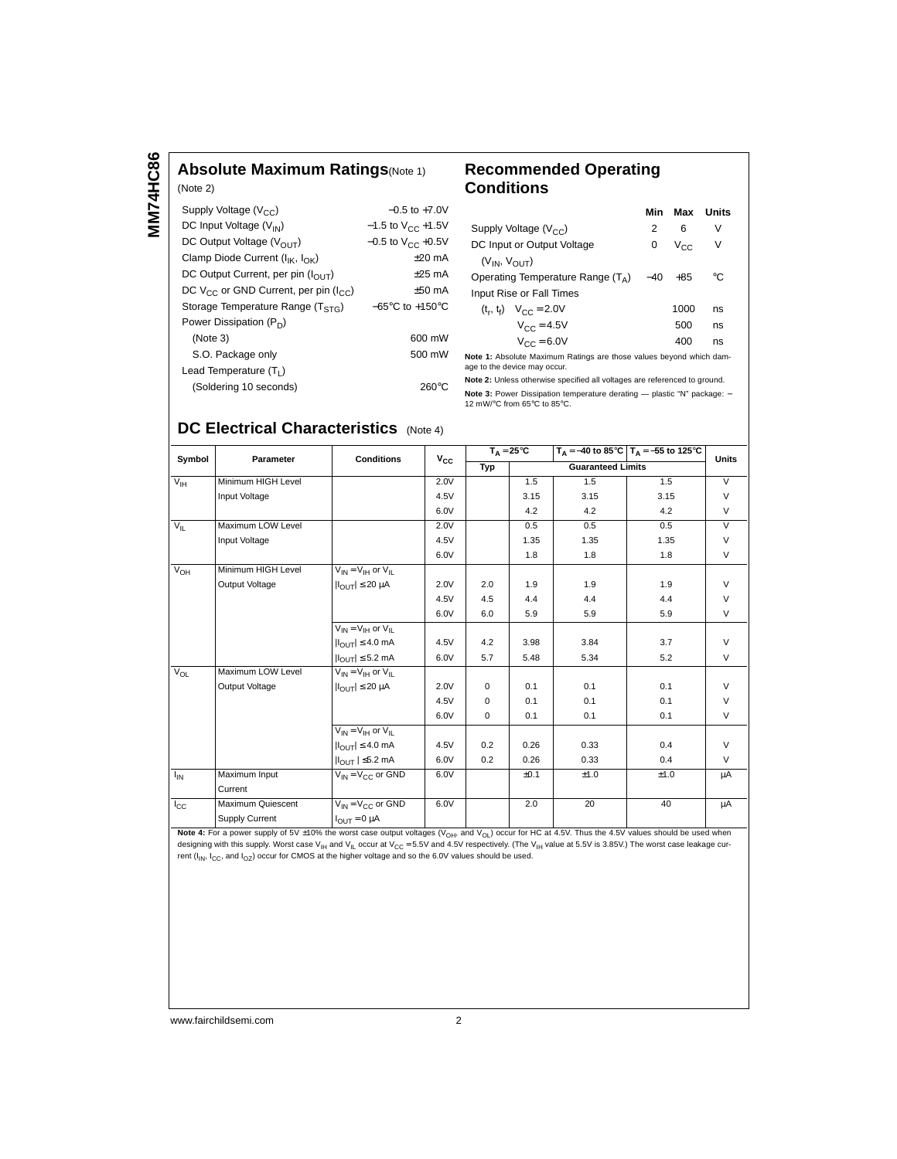# **Absolute Maximum Ratings**(Note 1)

| (Note 2)                                         |                                     |
|--------------------------------------------------|-------------------------------------|
| Supply Voltage $(V_{CC})$                        | $-0.5$ to $+7.0V$                   |
| DC Input Voltage $(V_{IN})$                      | $-1.5$ to $V_{CC}$ +1.5V            |
| DC Output Voltage ( $V_{\text{OUT}}$ )           | $-0.5$ to V <sub>CC</sub> +0.5V     |
| Clamp Diode Current ( $I_{IK}$ , $I_{OK}$ )      | $+20 \text{ mA}$                    |
| DC Output Current, per pin $(I_{OUT})$           | $\pm 25$ mA                         |
| DC $V_{CC}$ or GND Current, per pin ( $I_{CC}$ ) | $+50$ mA                            |
| Storage Temperature Range ( $T_{STG}$ )          | $-65^{\circ}$ C to $+150^{\circ}$ C |
| Power Dissipation $(P_D)$                        |                                     |
| (Note 3)                                         | 600 mW                              |
| S.O. Package only                                | 500 mW                              |
| Lead Temperature $(T_1)$                         |                                     |
| (Soldering 10 seconds)                           | 260°C                               |
|                                                  |                                     |

# **Recommended Operating Conditions**

|                                     | Min   | Max             | <b>Units</b> |  |  |
|-------------------------------------|-------|-----------------|--------------|--|--|
| Supply Voltage $(V_{CC})$           | 2     | 6               | V            |  |  |
| DC Input or Output Voltage          | 0     | V <sub>CC</sub> | V            |  |  |
| $(V_{IN}, V_{OIII})$                |       |                 |              |  |  |
| Operating Temperature Range $(T_A)$ | $-40$ | $+85$           | °C           |  |  |
| Input Rise or Fall Times            |       |                 |              |  |  |
| $(t_r, t_f)$ $V_{CC} = 2.0V$        |       | 1000            | ns           |  |  |
| $V_{CC} = 4.5V$                     |       | 500             | ns           |  |  |
| $V_{CC} = 6.0V$                     |       | 400             | ns           |  |  |

**Note 1:** Absolute Maximum Ratings are those values beyond which damage to the device may occur.

**Note 2:** Unless otherwise specified all voltages are referenced to ground. **Note 3:** Power Dissipation temperature derating — plastic "N" package: –<br>12 mW/°C from 65°C to 85°C.

# **DC Electrical Characteristics** (Note 4)

| Symbol          | Parameter             | <b>Conditions</b>                | $V_{CC}$ | $T_A = 25^{\circ}C$ |      |      | $T_A = -40$ to 85°C $T_A = -55$ to 125°C | <b>Units</b>   |
|-----------------|-----------------------|----------------------------------|----------|---------------------|------|------|------------------------------------------|----------------|
|                 |                       |                                  |          | Typ                 |      |      | <b>Guaranteed Limits</b>                 |                |
| $V_{\text{IH}}$ | Minimum HIGH Level    |                                  | 2.0V     |                     | 1.5  | 1.5  | 1.5                                      | $\overline{V}$ |
|                 | Input Voltage         |                                  | 4.5V     |                     | 3.15 | 3.15 | 3.15                                     | $\vee$         |
|                 |                       |                                  | 6.0V     |                     | 4.2  | 4.2  | 4.2                                      | $\vee$         |
| $V_{\parallel}$ | Maximum LOW Level     |                                  | 2.0V     |                     | 0.5  | 0.5  | 0.5                                      | $\overline{V}$ |
|                 | Input Voltage         |                                  | 4.5V     |                     | 1.35 | 1.35 | 1.35                                     | $\vee$         |
|                 |                       |                                  | 6.0V     |                     | 1.8  | 1.8  | 1.8                                      | $\vee$         |
| $V_{OH}$        | Minimum HIGH Level    | $V_{IN} = V_{IH}$ or $V_{II}$    |          |                     |      |      |                                          |                |
|                 | Output Voltage        | $ I_{OUT}  \leq 20 \mu A$        | 2.0V     | 2.0                 | 1.9  | 1.9  | 1.9                                      | $\vee$         |
|                 |                       |                                  | 4.5V     | 4.5                 | 4.4  | 4.4  | 4.4                                      | $\vee$         |
|                 |                       |                                  | 6.0V     | 6.0                 | 5.9  | 5.9  | 5.9                                      | $\vee$         |
|                 |                       | $V_{IN} = V_{IH}$ or $V_{IL}$    |          |                     |      |      |                                          |                |
|                 |                       | $ I_{\text{OUT}}  \leq 4.0$ mA   | 4.5V     | 4.2                 | 3.98 | 3.84 | 3.7                                      | $\vee$         |
|                 |                       | $ I_{OUT}  \leq 5.2$ mA          | 6.0V     | 5.7                 | 5.48 | 5.34 | 5.2                                      | $\vee$         |
| $V_{OL}$        | Maximum LOW Level     | $V_{IN} = V_{IH}$ or $V_{II}$    |          |                     |      |      |                                          |                |
|                 | Output Voltage        | $ I_{OUT}  \leq 20 \mu A$        | 2.0V     | $\mathbf 0$         | 0.1  | 0.1  | 0.1                                      | $\vee$         |
|                 |                       |                                  | 4.5V     | $\Omega$            | 0.1  | 0.1  | 0.1                                      | $\vee$         |
|                 |                       |                                  | 6.0V     | $\mathbf 0$         | 0.1  | 0.1  | 0.1                                      | $\vee$         |
|                 |                       | $V_{IN} = V_{IH}$ or $V_{IL}$    |          |                     |      |      |                                          |                |
|                 |                       | $ I_{\text{OUT}}  \leq 4.0$ mA   | 4.5V     | 0.2                 | 0.26 | 0.33 | 0.4                                      | $\vee$         |
|                 |                       | $ I_{\text{OUT}} $ $\leq$ 5.2 mA | 6.0V     | 0.2                 | 0.26 | 0.33 | 0.4                                      | $\vee$         |
| $I_{IN}$        | Maximum Input         | $V_{IN} = V_{C}C$ or GND         | 6.0V     |                     | ±0.1 | ±1.0 | ±1.0                                     | μA             |
|                 | Current               |                                  |          |                     |      |      |                                          |                |
| $I_{\rm CC}$    | Maximum Quiescent     | $V_{IN} = V_{CC}$ or GND         | 6.0V     |                     | 2.0  | 20   | 40                                       | μA             |
|                 | <b>Supply Current</b> | $I_{OUT} = 0 \mu A$              |          |                     |      |      |                                          |                |

Note 4: For a power supply of 5V ±10% the worst case output voltages (V<sub>OH</sub>, and V<sub>OL</sub>) occur for HC at 4.5V. Thus the 4.5V values should be used when designing with this supply. Worst case V<sub>IH</sub> and V<sub>IL</sub> occur at V<sub>CC</sub> = 5.5V and 4.5V respectively. (The V<sub>IH</sub> value at 5.5V is 3.85V.) The worst case leakage current ( $I_{IN}$ ,  $I_{CC}$ , and  $I_{OZ}$ ) occur for CMOS at the higher voltage and so the 6.0V values should be used.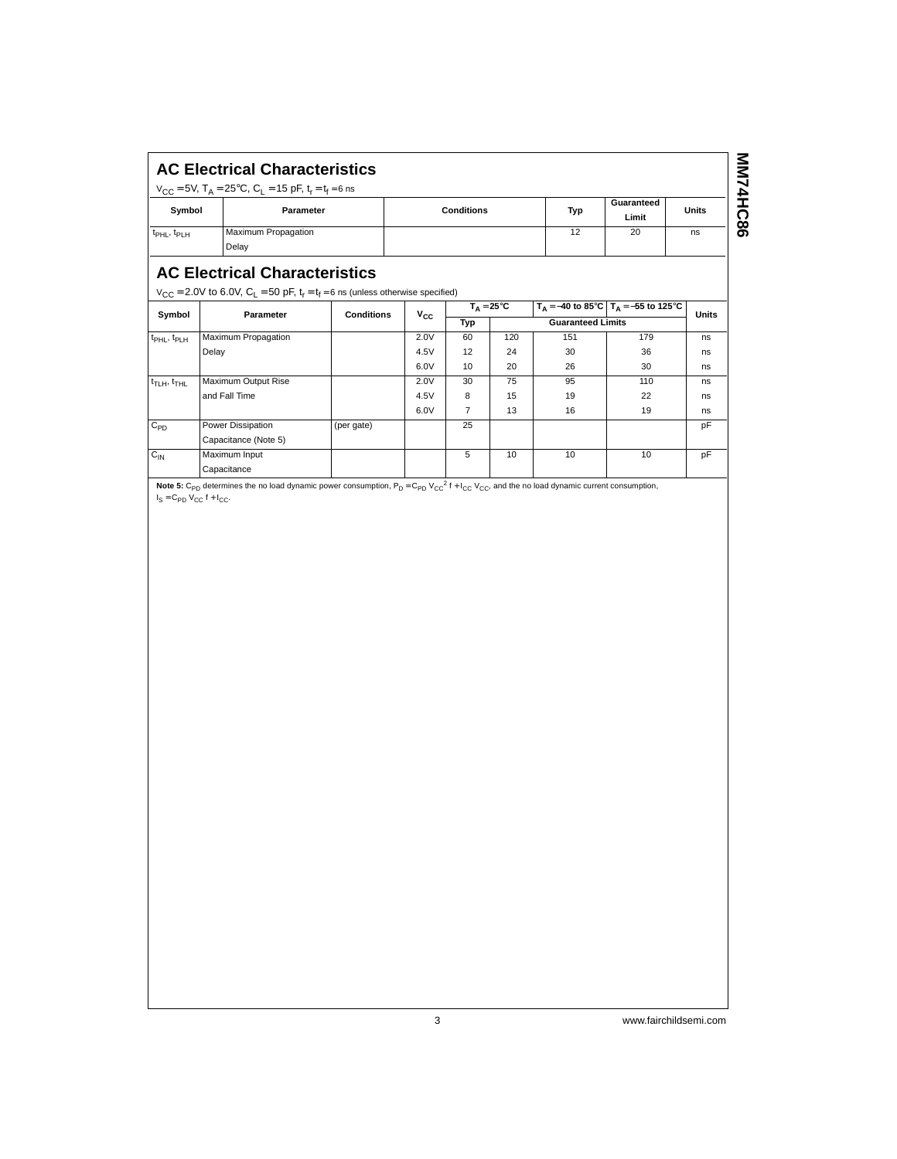|                               | <b>AC Electrical Characteristics</b><br>$V_{CC}$ = 5V, T <sub>A</sub> = 25°C, C <sub>1</sub> = 15 pF, t <sub>r</sub> = t <sub>f</sub> = 6 ns |                   |     |                     |              |
|-------------------------------|----------------------------------------------------------------------------------------------------------------------------------------------|-------------------|-----|---------------------|--------------|
| Symbol                        | Parameter                                                                                                                                    | <b>Conditions</b> | Typ | Guaranteed<br>Limit | <b>Units</b> |
| $t_{\rm PHL}$ , $t_{\rm PLH}$ | Maximum Propagation<br>Delay                                                                                                                 |                   | 12  | 20                  | ns           |

# **AC Electrical Characteristics**

 $\big|$  V<sub>CC</sub> = 2.0V to 6.0V, C<sub>L</sub> = 50 pF, t<sub>r</sub> = t<sub>f</sub> = 6 ns (unless otherwise specified)

| Symbol                              | Parameter            | <b>Conditions</b> | $v_{\rm cc}$ | $T_A = 25^{\circ}C$             |     |     | $T_A = -40$ to 85°C $T_A = -55$ to 125°C | <b>Units</b> |  |
|-------------------------------------|----------------------|-------------------|--------------|---------------------------------|-----|-----|------------------------------------------|--------------|--|
|                                     |                      |                   |              | <b>Guaranteed Limits</b><br>Typ |     |     |                                          |              |  |
| t <sub>PHL</sub> , t <sub>PLH</sub> | Maximum Propagation  |                   | 2.0V         | 60                              | 120 | 151 | 179                                      | ns           |  |
|                                     | Delay                |                   | 4.5V         | 12                              | 24  | 30  | 36                                       | ns           |  |
|                                     |                      |                   | 6.0V         | 10                              | 20  | 26  | 30                                       | ns           |  |
| $t_{\text{T LH}}, t_{\text{THL}}$   | Maximum Output Rise  |                   | 2.0V         | 30                              | 75  | 95  | 110                                      | ns           |  |
|                                     | and Fall Time        |                   | 4.5V         | 8                               | 15  | 19  | 22                                       | ns           |  |
|                                     |                      |                   | 6.0V         | 7                               | 13  | 16  | 19                                       | ns           |  |
| $C_{PD}$                            | Power Dissipation    | (per gate)        |              | 25                              |     |     |                                          | pF           |  |
|                                     | Capacitance (Note 5) |                   |              |                                 |     |     |                                          |              |  |
| $C_{IN}$                            | Maximum Input        |                   |              | 5                               | 10  | 10  | 10                                       | pF           |  |
|                                     | Capacitance          |                   |              |                                 |     |     |                                          |              |  |

Note 5: C<sub>PD</sub> determines the no load dynamic power consumption, P<sub>D</sub> = C<sub>PD</sub> V<sub>CC</sub><sup>2</sup> f + I<sub>CC</sub> V<sub>CC</sub>, and the no load dynamic current consumption,  $I_S = C_{PD} V_{CC} f + I_{CC}.$ 

3 www.fairchildsemi.com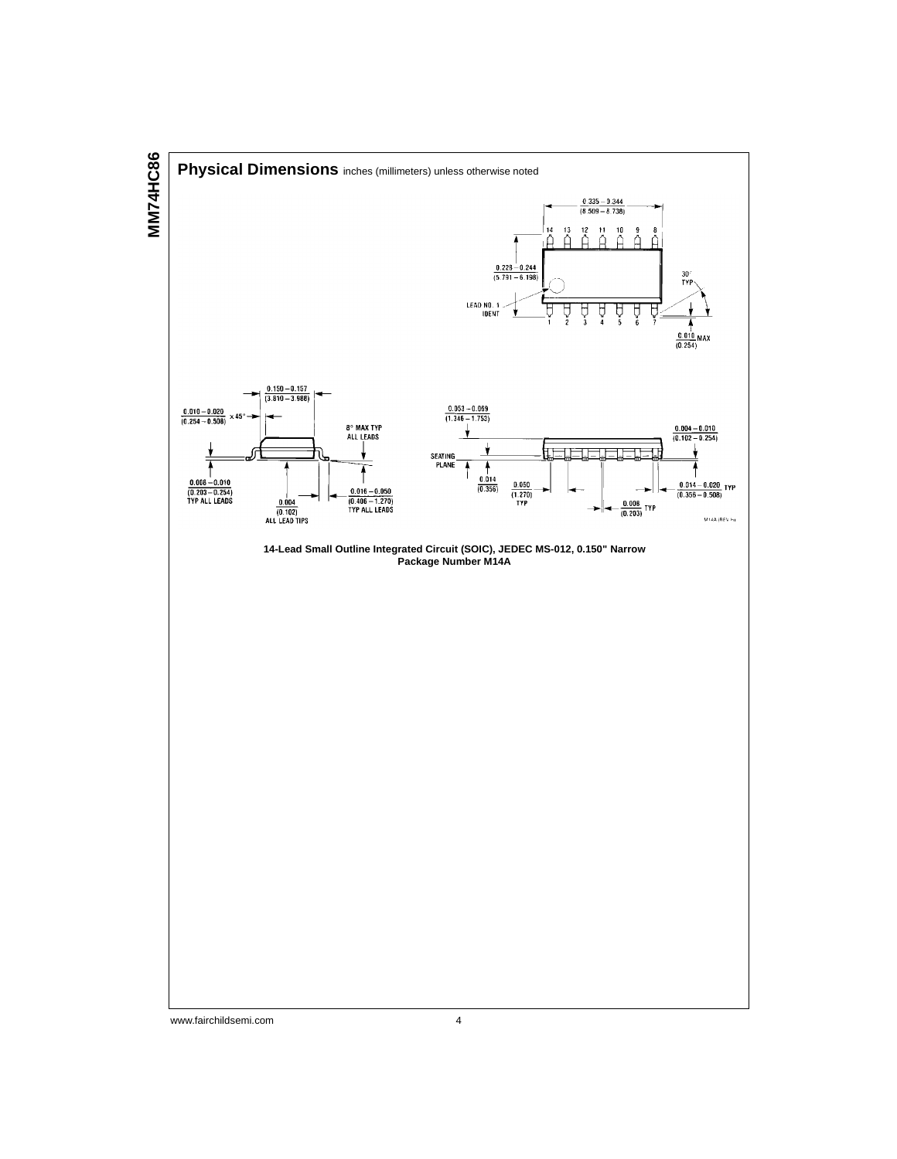

www.fairchildsemi.com 4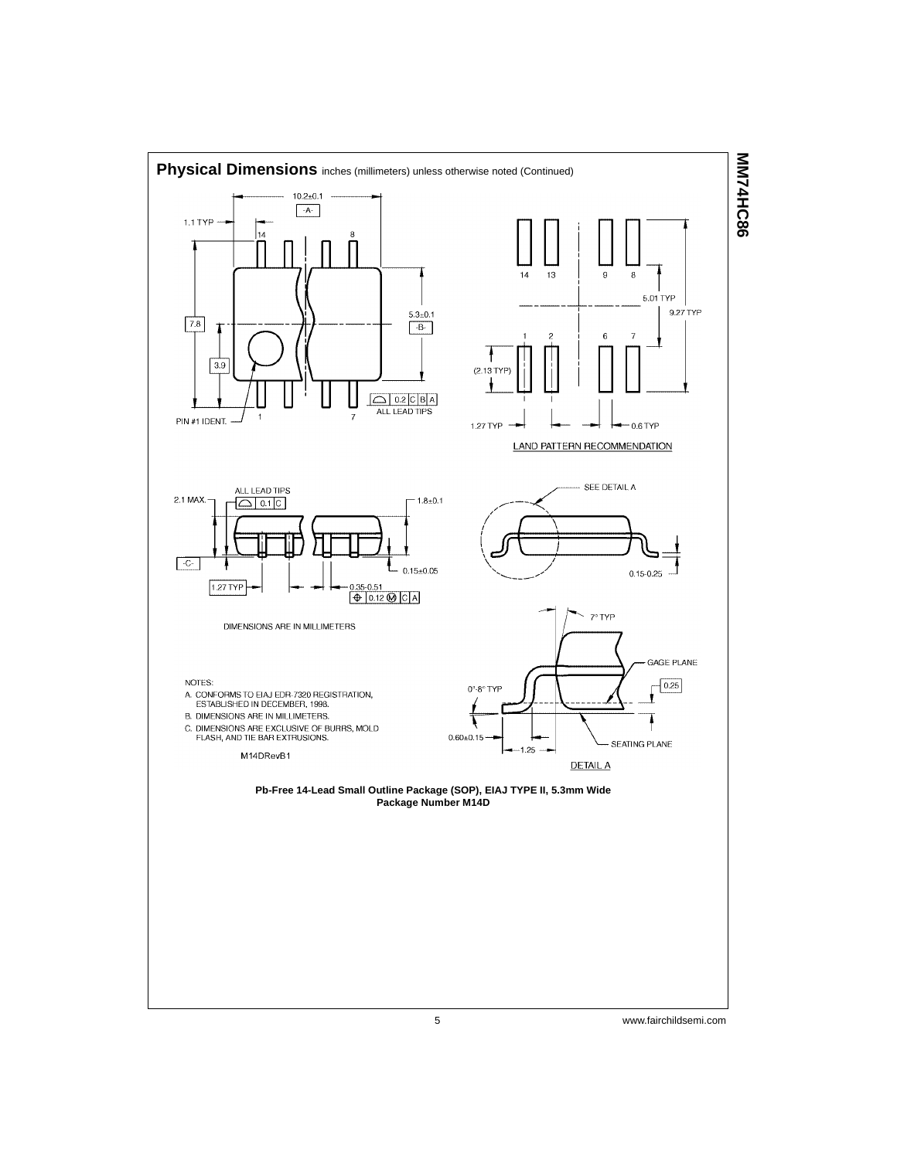

**MN74HC86 MM74HC86**

5 www.fairchildsemi.com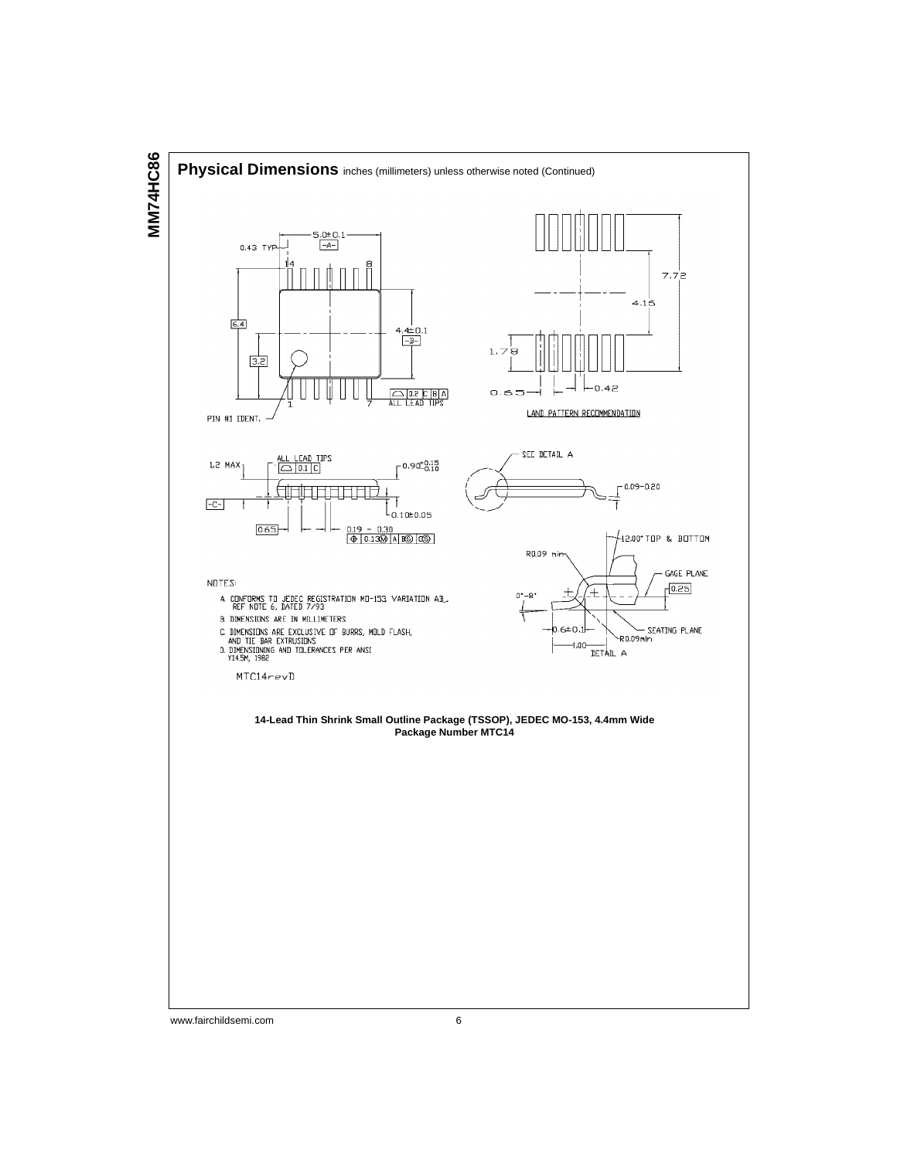